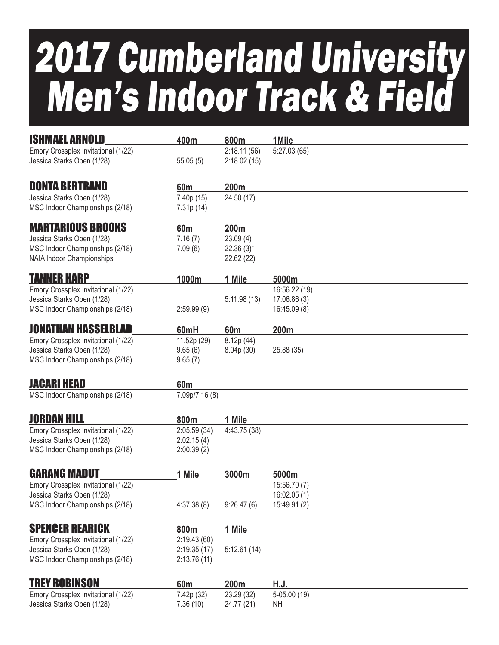# 2017 Cumberland University Men's Indoor Track & Field

| <b>ISHMAEL ARNOLD</b>               | 400m            | 800m                    | 1Mile         |
|-------------------------------------|-----------------|-------------------------|---------------|
| Emory Crossplex Invitational (1/22) |                 | 2:18.11(56)             | 5:27.03(65)   |
| Jessica Starks Open (1/28)          | 55.05(5)        | 2:18.02(15)             |               |
|                                     |                 |                         |               |
| <b>DONTA BERTRAND</b>               | 60 <sub>m</sub> | 200m                    |               |
| Jessica Starks Open (1/28)          | 7.40p (15)      | 24.50 (17)              |               |
| MSC Indoor Championships (2/18)     | 7.31p (14)      |                         |               |
| <b>MARTARIOUS BROOKS</b>            | 60 <sub>m</sub> | 200m                    |               |
| Jessica Starks Open (1/28)          | 7.16(7)         | 23.09(4)                |               |
| MSC Indoor Championships (2/18)     | 7.09(6)         | $22.36(3)$ <sup>+</sup> |               |
| <b>NAIA Indoor Championships</b>    |                 | 22.62 (22)              |               |
| <b>TANNER HARP</b>                  | 1000m           | 1 Mile                  | 5000m         |
| Emory Crossplex Invitational (1/22) |                 |                         | 16:56.22 (19) |
| Jessica Starks Open (1/28)          |                 | 5:11.98(13)             | 17:06.86(3)   |
| MSC Indoor Championships (2/18)     | 2:59.99(9)      |                         | 16:45.09 (8)  |
|                                     |                 |                         |               |
| JONATHAN HASSELBLAD                 | 60mH            | 60 <sub>m</sub>         | 200m          |
| Emory Crossplex Invitational (1/22) | 11.52p (29)     | 8.12p (44)              |               |
| Jessica Starks Open (1/28)          | 9.65(6)         | 8.04p (30)              | 25.88 (35)    |
| MSC Indoor Championships (2/18)     | 9.65(7)         |                         |               |
| <b>JACARI HEAD</b>                  |                 |                         |               |
|                                     | 60 <sub>m</sub> |                         |               |
| MSC Indoor Championships (2/18)     | 7.09p/7.16 (8)  |                         |               |
| <b>JORDAN HILL</b>                  | 800m            | 1 Mile                  |               |
| Emory Crossplex Invitational (1/22) | 2:05.59(34)     | 4:43.75 (38)            |               |
| Jessica Starks Open (1/28)          | 2:02.15(4)      |                         |               |
| MSC Indoor Championships (2/18)     | 2:00.39(2)      |                         |               |
|                                     |                 |                         |               |
| <b>GARANG MADUT</b>                 | 1 Mile          | 3000m                   | 5000m         |
| Emory Crossplex Invitational (1/22) |                 |                         | 15:56.70 (7)  |
| Jessica Starks Open (1/28)          |                 |                         | 16:02.05(1)   |
| MSC Indoor Championships (2/18)     | 4:37.38(8)      | 9:26.47(6)              | 15:49.91 (2)  |
| <b>SPENCER REARICK</b>              | 800m            | 1 Mile                  |               |
| Emory Crossplex Invitational (1/22) | 2:19.43(60)     |                         |               |
| Jessica Starks Open (1/28)          | 2:19.35(17)     | 5:12.61(14)             |               |
| MSC Indoor Championships (2/18)     | 2:13.76(11)     |                         |               |
|                                     |                 |                         |               |
| <b>TREY ROBINSON</b>                | 60 <sub>m</sub> | 200m                    | H.J.          |
| Emory Crossplex Invitational (1/22) | 7.42p (32)      | 23.29 (32)              | $5-05.00(19)$ |
| Jessica Starks Open (1/28)          | 7.36(10)        | 24.77 (21)              | NH            |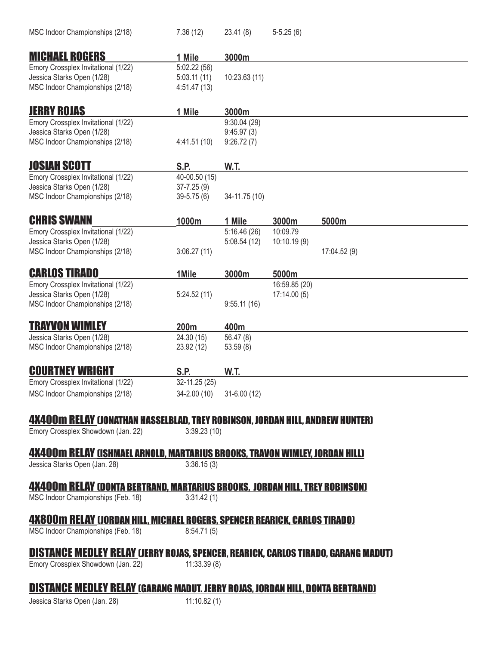| MSC Indoor Championships (2/18)                                                           | 7.36(12)                  | 23.41(8)      | $5-5.25(6)$   |              |
|-------------------------------------------------------------------------------------------|---------------------------|---------------|---------------|--------------|
| <b>MICHAEL ROGERS</b>                                                                     | 1 Mile                    | 3000m         |               |              |
| Emory Crossplex Invitational (1/22)                                                       | 5:02.22(56)               |               |               |              |
| Jessica Starks Open (1/28)                                                                | 5:03.11(11)               | 10:23.63 (11) |               |              |
| MSC Indoor Championships (2/18)                                                           | 4:51.47(13)               |               |               |              |
|                                                                                           |                           |               |               |              |
| <b>JERRY ROJAS</b>                                                                        | 1 Mile                    | 3000m         |               |              |
| Emory Crossplex Invitational (1/22)                                                       |                           | 9:30.04(29)   |               |              |
| Jessica Starks Open (1/28)                                                                |                           | 9:45.97(3)    |               |              |
| MSC Indoor Championships (2/18)                                                           | 4:41.51(10)               | 9:26.72(7)    |               |              |
|                                                                                           |                           |               |               |              |
| <b>JOSIAH SCOTT</b>                                                                       | S.P.                      | <b>W.T.</b>   |               |              |
| Emory Crossplex Invitational (1/22)                                                       | 40-00.50 (15)             |               |               |              |
| Jessica Starks Open (1/28)                                                                | $37 - 7.25(9)$            |               |               |              |
| MSC Indoor Championships (2/18)                                                           | $39 - 5.75(6)$            | 34-11.75 (10) |               |              |
|                                                                                           |                           |               |               |              |
| <b>CHRIS SWANN</b>                                                                        | 1000m                     | 1 Mile        | 3000m         | 5000m        |
| Emory Crossplex Invitational (1/22)                                                       |                           | 5:16.46(26)   | 10:09.79      |              |
| Jessica Starks Open (1/28)                                                                |                           | 5:08.54(12)   | 10:10.19(9)   |              |
| MSC Indoor Championships (2/18)                                                           | 3:06.27(11)               |               |               | 17:04.52 (9) |
|                                                                                           |                           |               |               |              |
| <b>CARLOS TIRADO</b>                                                                      | 1Mile                     | 3000m         | 5000m         |              |
| Emory Crossplex Invitational (1/22)                                                       |                           |               | 16:59.85 (20) |              |
| Jessica Starks Open (1/28)                                                                | 5:24.52(11)               |               | 17:14.00(5)   |              |
| MSC Indoor Championships (2/18)                                                           |                           | 9:55.11(16)   |               |              |
|                                                                                           |                           |               |               |              |
| TRAYVON WIMLEY                                                                            | 200 <sub>m</sub>          | 400m          |               |              |
| Jessica Starks Open (1/28)                                                                | 24.30 (15)                | 56.47 (8)     |               |              |
| MSC Indoor Championships (2/18)                                                           | 23.92 (12)                | 53.59(8)      |               |              |
|                                                                                           |                           |               |               |              |
| <b>COURTNEY WRIGHT</b>                                                                    | S.P.                      | W.T.          |               |              |
| Emory Crossplex Invitational (1/22)                                                       | 32-11.25 (25)             |               |               |              |
| MSC Indoor Championships (2/18)                                                           | 34-2.00 (10) 31-6.00 (12) |               |               |              |
|                                                                                           |                           |               |               |              |
| <b>4X400m RELAY (JONATHAN HASSELBLAD, TREY ROBINSON, JORDAN HILL, ANDREW HUNTER)</b>      |                           |               |               |              |
| Emory Crossplex Showdown (Jan. 22)                                                        | 3:39.23(10)               |               |               |              |
|                                                                                           |                           |               |               |              |
| <u>4X400m relay (Ishmael Arnold, Martarius Brooks, Travon Wimley, Jordan Hill)</u>        |                           |               |               |              |
| Jessica Starks Open (Jan. 28)                                                             | 3:36.15(3)                |               |               |              |
|                                                                                           |                           |               |               |              |
| <b>4X400m RELAY (DONTA BERTRAND, MARTARIUS BROOKS, JORDAN HILL, TREY ROBINSON)</b>        |                           |               |               |              |
| MSC Indoor Championships (Feb. 18)                                                        | 3:31.42(1)                |               |               |              |
|                                                                                           |                           |               |               |              |
| <b>4X800m RELAY (JORDAN HILL, MICHAEL ROGERS, SPENCER REARICK, CARLOS TIRADO)</b>         |                           |               |               |              |
| MSC Indoor Championships (Feb. 18)                                                        | 8:54.71(5)                |               |               |              |
|                                                                                           |                           |               |               |              |
| <b>DISTANCE MEDLEY RELAY (JERRY ROJAS, SPENCER, REARICK, CARLOS TIRADO, GARANG MADUT)</b> |                           |               |               |              |
| Emory Crossplex Showdown (Jan. 22)                                                        | 11:33.39 (8)              |               |               |              |
|                                                                                           |                           |               |               |              |
| <b>DISTANCE MEDLEY RELAY (GARANG MADUT. JERRY ROJAS, JORDAN HILL, DONTA BERTRAND)</b>     |                           |               |               |              |
|                                                                                           |                           |               |               |              |

#### Jessica Starks Open (Jan. 28) 11:10.82 (1)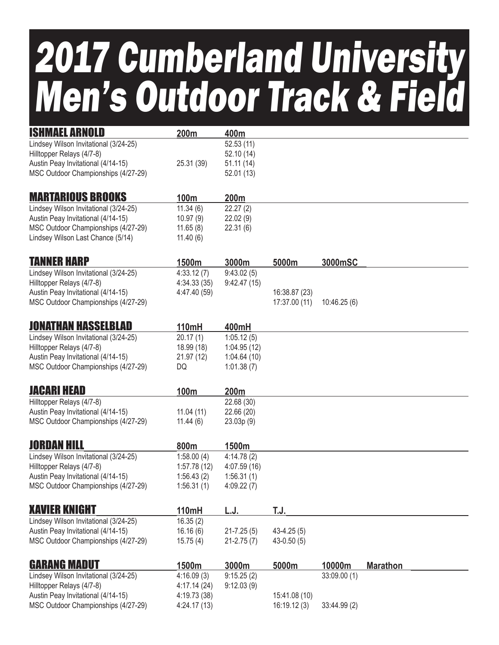## 2017 Cumberland University Men's Outdoor Track & Field

| <b>ISHMAEL ARNOLD</b>                                                       | 200m                      | 400m                      |                |              |                 |
|-----------------------------------------------------------------------------|---------------------------|---------------------------|----------------|--------------|-----------------|
| Lindsey Wilson Invitational (3/24-25)                                       |                           | 52.53(11)                 |                |              |                 |
| Hilltopper Relays (4/7-8)                                                   |                           | 52.10(14)                 |                |              |                 |
| Austin Peay Invitational (4/14-15)                                          | 25.31 (39)                | 51.11(14)                 |                |              |                 |
| MSC Outdoor Championships (4/27-29)                                         |                           | 52.01(13)                 |                |              |                 |
| <b>MARTARIOUS BROOKS</b>                                                    |                           |                           |                |              |                 |
|                                                                             | 100m<br>11.34(6)          | 200m<br>22.27(2)          |                |              |                 |
| Lindsey Wilson Invitational (3/24-25)<br>Austin Peay Invitational (4/14-15) | 10.97(9)                  | 22.02(9)                  |                |              |                 |
| MSC Outdoor Championships (4/27-29)                                         | 11.65(8)                  | 22.31(6)                  |                |              |                 |
| Lindsey Wilson Last Chance (5/14)                                           | 11.40(6)                  |                           |                |              |                 |
|                                                                             |                           |                           |                |              |                 |
| <b>TANNER HARP</b>                                                          | 1500m                     | 3000m                     | 5000m          | 3000mSC      |                 |
| Lindsey Wilson Invitational (3/24-25)<br>Hilltopper Relays (4/7-8)          | 4:33.12(7)<br>4:34.33(35) | 9:43.02(5)<br>9:42.47(15) |                |              |                 |
| Austin Peay Invitational (4/14-15)                                          | 4:47.40 (59)              |                           | 16:38.87 (23)  |              |                 |
| MSC Outdoor Championships (4/27-29)                                         |                           |                           | 17:37.00 (11)  | 10:46.25(6)  |                 |
|                                                                             |                           |                           |                |              |                 |
| <b>JONATHAN HASSELBLAD</b>                                                  | 110mH                     | 400mH                     |                |              |                 |
| Lindsey Wilson Invitational (3/24-25)                                       | 20.17(1)                  | 1:05.12(5)                |                |              |                 |
| Hilltopper Relays (4/7-8)                                                   | 18.99 (18)                | 1:04.95(12)               |                |              |                 |
| Austin Peay Invitational (4/14-15)                                          | 21.97 (12)                | 1:04.64(10)               |                |              |                 |
| MSC Outdoor Championships (4/27-29)                                         | DQ                        | 1:01.38(7)                |                |              |                 |
| <b>JACARI HEAD</b>                                                          | 100m                      | 200m                      |                |              |                 |
| Hilltopper Relays (4/7-8)                                                   |                           | 22.68 (30)                |                |              |                 |
| Austin Peay Invitational (4/14-15)                                          | 11.04(11)                 | 22.66 (20)                |                |              |                 |
| MSC Outdoor Championships (4/27-29)                                         | 11.44(6)                  | 23.03p(9)                 |                |              |                 |
| Jordan Hill                                                                 | 800m                      | 1500m                     |                |              |                 |
| Lindsey Wilson Invitational (3/24-25)                                       | 1:58.00(4)                | 4:14.78(2)                |                |              |                 |
| Hilltopper Relays (4/7-8)                                                   | 1:57.78(12)               | 4:07.59(16)               |                |              |                 |
| Austin Peay Invitational (4/14-15)                                          | 1:56.43(2)                | 1:56.31(1)                |                |              |                 |
| MSC Outdoor Championships (4/27-29)                                         | 1:56.31(1)                | 4:09.22(7)                |                |              |                 |
| <b>XAVIER KNIGHT</b>                                                        | 110mH                     | L.J.                      | T.J.           |              |                 |
| Lindsey Wilson Invitational (3/24-25)                                       | 16.35(2)                  |                           |                |              |                 |
| Austin Peay Invitational (4/14-15)                                          | 16.16(6)                  | $21 - 7.25(5)$            | $43-4.25(5)$   |              |                 |
| MSC Outdoor Championships (4/27-29)                                         | 15.75(4)                  | $21 - 2.75(7)$            | $43 - 0.50(5)$ |              |                 |
|                                                                             |                           |                           |                |              |                 |
| <b>GARANG MADUT</b>                                                         | 1500m                     | 3000m                     | 5000m          | 10000m       | <b>Marathon</b> |
| Lindsey Wilson Invitational (3/24-25)                                       | 4:16.09(3)                | 9:15.25(2)                |                | 33:09.00 (1) |                 |
| Hilltopper Relays (4/7-8)                                                   | 4:17.14(24)               | 9:12.03(9)                |                |              |                 |
| Austin Peay Invitational (4/14-15)                                          | 4:19.73 (38)              |                           | 15:41.08 (10)  |              |                 |
| MSC Outdoor Championships (4/27-29)                                         | 4:24.17(13)               |                           | 16:19.12(3)    | 33:44.99 (2) |                 |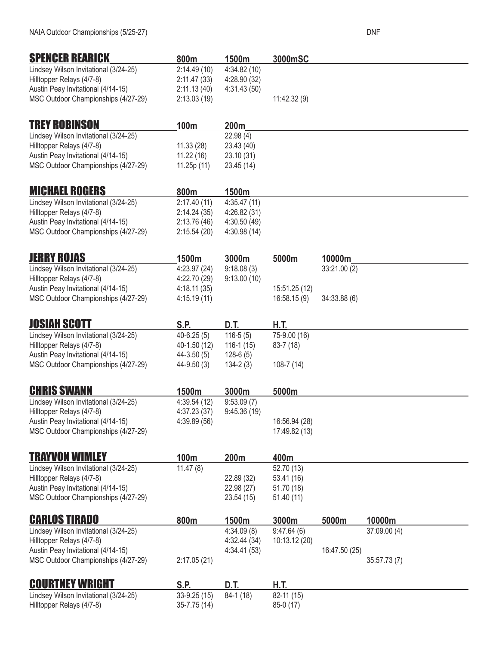| <b>SPENCER REARICK</b>                | 800m           | 1500m        | 3000mSC       |               |              |  |
|---------------------------------------|----------------|--------------|---------------|---------------|--------------|--|
| Lindsey Wilson Invitational (3/24-25) | 2:14.49(10)    | 4:34.82(10)  |               |               |              |  |
| Hilltopper Relays (4/7-8)             | 2:11.47(33)    | 4:28.90 (32) |               |               |              |  |
| Austin Peay Invitational (4/14-15)    | 2:11.13(40)    | 4:31.43(50)  |               |               |              |  |
| MSC Outdoor Championships (4/27-29)   | 2:13.03(19)    |              | 11:42.32(9)   |               |              |  |
| <b>TREY ROBINSON</b>                  | 100m           | 200m         |               |               |              |  |
| Lindsey Wilson Invitational (3/24-25) |                | 22.98(4)     |               |               |              |  |
| Hilltopper Relays (4/7-8)             | 11.33(28)      | 23.43 (40)   |               |               |              |  |
| Austin Peay Invitational (4/14-15)    | 11.22(16)      | 23.10 (31)   |               |               |              |  |
| MSC Outdoor Championships (4/27-29)   | 11.25p (11)    | 23.45 (14)   |               |               |              |  |
| <b>MICHAEL ROGERS</b>                 | 800m           | 1500m        |               |               |              |  |
| Lindsey Wilson Invitational (3/24-25) | 2:17.40(11)    | 4:35.47(11)  |               |               |              |  |
| Hilltopper Relays (4/7-8)             | 2:14.24(35)    | 4:26.82 (31) |               |               |              |  |
| Austin Peay Invitational (4/14-15)    | 2:13.76(46)    | 4:30.50 (49) |               |               |              |  |
| MSC Outdoor Championships (4/27-29)   | 2:15.54(20)    | 4:30.98(14)  |               |               |              |  |
| <b>JERRY ROJAS</b>                    | 1500m          | 3000m        | 5000m         | 10000m        |              |  |
| Lindsey Wilson Invitational (3/24-25) | 4:23.97 (24)   | 9:18.08(3)   |               | 33:21.00 (2)  |              |  |
| Hilltopper Relays (4/7-8)             | 4:22.70 (29)   | 9:13.00(10)  |               |               |              |  |
| Austin Peay Invitational (4/14-15)    | 4:18.11(35)    |              | 15:51.25 (12) |               |              |  |
| MSC Outdoor Championships (4/27-29)   | 4:15.19(11)    |              | 16:58.15(9)   | 34:33.88 (6)  |              |  |
| <b>JOSIAH SCOTT</b>                   | S.P.           | D.T.         | H.T.          |               |              |  |
| Lindsey Wilson Invitational (3/24-25) | $40-6.25(5)$   | $116-5(5)$   | 75-9.00 (16)  |               |              |  |
| Hilltopper Relays (4/7-8)             | 40-1.50 (12)   | $116-1(15)$  | $83 - 7(18)$  |               |              |  |
| Austin Peay Invitational (4/14-15)    | $44 - 3.50(5)$ | $128-6(5)$   |               |               |              |  |
| MSC Outdoor Championships (4/27-29)   | 44-9.50 (3)    | $134 - 2(3)$ | $108-7(14)$   |               |              |  |
| <b>CHRIS SWANN</b>                    | 1500m          | 3000m        | 5000m         |               |              |  |
| Lindsey Wilson Invitational (3/24-25) | 4:39.54(12)    | 9:53.09(7)   |               |               |              |  |
| Hilltopper Relays (4/7-8)             | 4:37.23(37)    | 9:45.36(19)  |               |               |              |  |
| Austin Peay Invitational (4/14-15)    | 4:39.89(56)    |              | 16:56.94 (28) |               |              |  |
| MSC Outdoor Championships (4/27-29)   |                |              | 17:49.82 (13) |               |              |  |
| <b>TRAYVON WIMLEY</b>                 | 100m           | 200m         | 400m          |               |              |  |
| Lindsey Wilson Invitational (3/24-25) | 11.47(8)       |              | 52.70 (13)    |               |              |  |
| Hilltopper Relays (4/7-8)             |                | 22.89 (32)   | 53.41(16)     |               |              |  |
| Austin Peay Invitational (4/14-15)    |                | 22.98 (27)   | 51.70 (18)    |               |              |  |
| MSC Outdoor Championships (4/27-29)   |                | 23.54(15)    | 51.40(11)     |               |              |  |
| <b>CARLOS TIRADO</b>                  | 800m           | 1500m        | 3000m         | 5000m         | 10000m       |  |
| Lindsey Wilson Invitational (3/24-25) |                | 4:34.09(8)   | 9:47.64(6)    |               | 37:09.00 (4) |  |
| Hilltopper Relays (4/7-8)             |                | 4:32.44(34)  | 10:13.12 (20) |               |              |  |
| Austin Peay Invitational (4/14-15)    |                | 4:34.41(53)  |               | 16:47.50 (25) |              |  |
| MSC Outdoor Championships (4/27-29)   | 2:17.05(21)    |              |               |               | 35:57.73 (7) |  |
| <b>COURTNEY WRIGHT</b>                | S.P.           | D.T.         | H.T.          |               |              |  |
| Lindsey Wilson Invitational (3/24-25) | $33-9.25(15)$  | 84-1 (18)    | 82-11 (15)    |               |              |  |
| Hilltopper Relays (4/7-8)             | 35-7.75 (14)   |              | 85-0 (17)     |               |              |  |